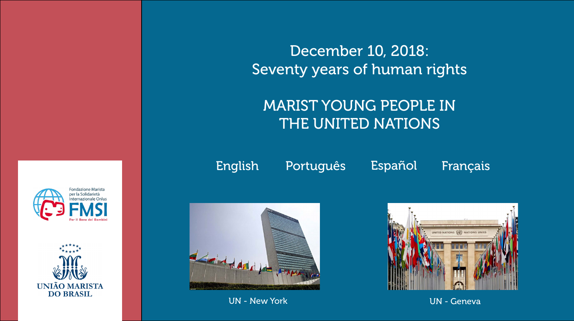### [English](#page-1-0) [Português](#page-8-0) [Español](#page-15-0) [Français](#page-22-0)



<span id="page-0-0"></span>



# December 10, 2018: Seventy years of human rights

# MARIST YOUNG PEOPLE IN THE UNITED NATIONS



UN - New York UN - Geneva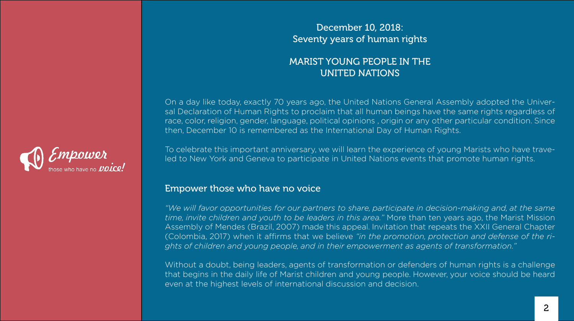### December 10, 2018: Seventy years of human rights

### MARIST YOUNG PEOPLE IN THE UNITED NATIONS

<span id="page-1-0"></span>

On a day like today, exactly 70 years ago, the United Nations General Assembly adopted the Universal Declaration of Human Rights to proclaim that all human beings have the same rights regardless of race, color, religion, gender, language, political opinions , origin or any other particular condition. Since then, December 10 is remembered as the International Day of Human Rights.

To celebrate this important anniversary, we will learn the experience of young Marists who have traveled to New York and Geneva to participate in United Nations events that promote human rights.

### Empower those who have no voice

*"We will favor opportunities for our partners to share, participate in decision-making and, at the same time, invite children and youth to be leaders in this area."* More than ten years ago, the Marist Mission Assembly of Mendes (Brazil, 2007) made this appeal. Invitation that repeats the XXII General Chapter (Colombia, 2017) when it affirms that we believe *"in the promotion, protection and defense of the rights of children and young people, and in their empowerment as agents of transformation."*

Without a doubt, being leaders, agents of transformation or defenders of human rights is a challenge that begins in the daily life of Marist children and young people. However, your voice should be heard even at the highest levels of international discussion and decision.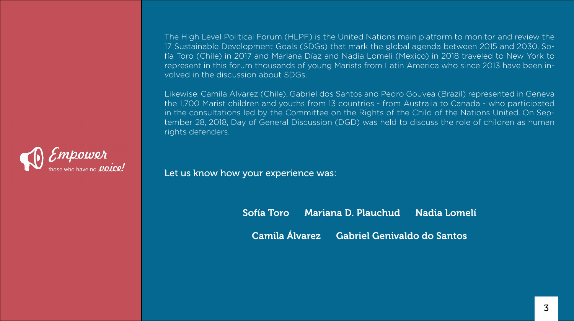

The High Level Political Forum (HLPF) is the United Nations main platform to monitor and review the 17 Sustainable Development Goals (SDGs) that mark the global agenda between 2015 and 2030. Sofía Toro (Chile) in 2017 and Mariana Díaz and Nadia Lomeli (Mexico) in 2018 traveled to New York to represent in this forum thousands of young Marists from Latin America who since 2013 have been involved in the discussion about SDGs.

### Sofía Toro Mariana D. Plauchud Nadia Lomelí Camila Álvarez Gabriel Genivaldo do Santos

Likewise, Camila Álvarez (Chile), Gabriel dos Santos and Pedro Gouvea (Brazil) represented in Geneva the 1,700 Marist children and youths from 13 countries - from Australia to Canada - who participated in the consultations led by the Committee on the Rights of the Child of the Nations United. On September 28, 2018, Day of General Discussion (DGD) was held to discuss the role of children as human rights defenders.

Let us know how your experience was: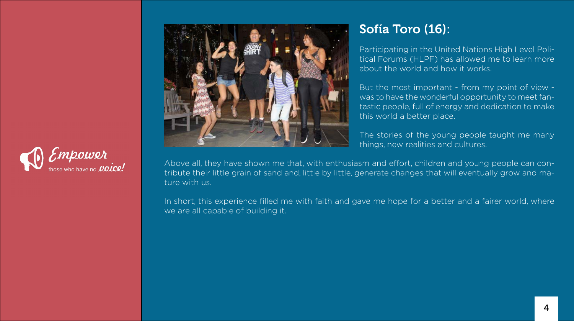# Sofía Toro (16):

Participating in the United Nations High Level Political Forums (HLPF) has allowed me to learn more about the world and how it works.

But the most important - from my point of view was to have the wonderful opportunity to meet fantastic people, full of energy and dedication to make this world a better place.

The stories of the young people taught me many things, new realities and cultures.

In short, this experience filled me with faith and gave me hope for a better and a fairer world, where we are all capable of building it.





Above all, they have shown me that, with enthusiasm and effort, children and young people can contribute their little grain of sand and, little by little, generate changes that will eventually grow and mature with us.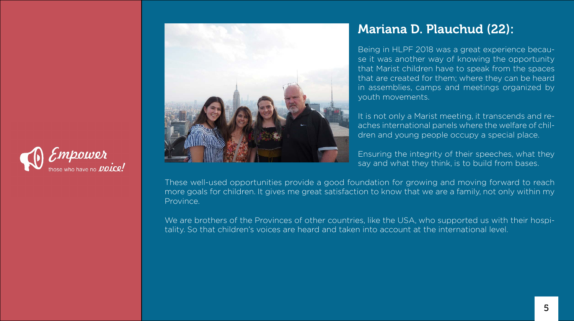### Mariana D. Plauchud (22):

Being in HLPF 2018 was a great experience because it was another way of knowing the opportunity that Marist children have to speak from the spaces that are created for them; where they can be heard in assemblies, camps and meetings organized by youth movements.

It is not only a Marist meeting, it transcends and reaches international panels where the welfare of children and young people occupy a special place.

Ensuring the integrity of their speeches, what they say and what they think, is to build from bases.

We are brothers of the Provinces of other countries, like the USA, who supported us with their hospitality. So that children's voices are heard and taken into account at the international level.





These well-used opportunities provide a good foundation for growing and moving forward to reach more goals for children. It gives me great satisfaction to know that we are a family, not only within my Province.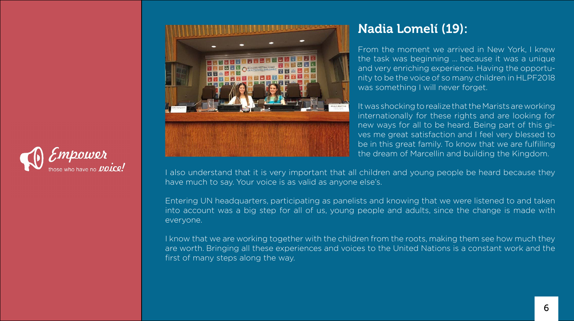### Nadia Lomelí (19):

From the moment we arrived in New York, I knew the task was beginning ... because it was a unique and very enriching experience. Having the opportunity to be the voice of so many children in HLPF2018 was something I will never forget.

It was shocking to realize that the Marists are working internationally for these rights and are looking for new ways for all to be heard. Being part of this gives me great satisfaction and I feel very blessed to be in this great family. To know that we are fulfilling the dream of Marcellin and building the Kingdom.





I also understand that it is very important that all children and young people be heard because they have much to say. Your voice is as valid as anyone else's.

Entering UN headquarters, participating as panelists and knowing that we were listened to and taken into account was a big step for all of us, young people and adults, since the change is made with everyone.

I know that we are working together with the children from the roots, making them see how much they are worth. Bringing all these experiences and voices to the United Nations is a constant work and the first of many steps along the way.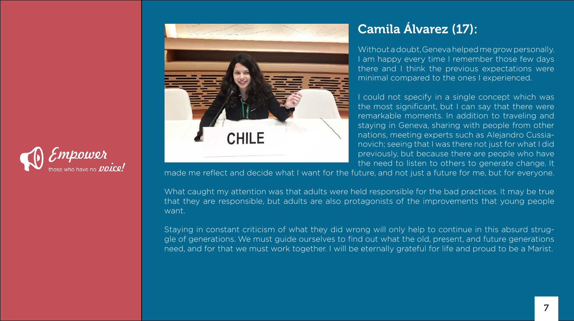

# **Sandy & M. H. Homes Room**

# Camila Álvarez (17):

Without a doubt, Geneva helped me grow personally. I am happy every time I remember those few days there and I think the previous expectations were minimal compared to the ones I experienced.

could not specify in a single concept which was

the most significant, but I can say that there were remarkable moments. In addition to traveling and staying in Geneva, sharing with people from other nations, meeting experts such as Alejandro Cussianovich; seeing that I was there not just for what I did previously, but because there are people who have the need to listen to others to generate change. It made me reflect and decide what I want for the future, and not just a future for me, but for everyone.

What caught my attention was that adults were held responsible for the bad practices. It may be true that they are responsible, but adults are also protagonists of the improvements that young people want.

Staying in constant criticism of what they did wrong will only help to continue in this absurd struggle of generations. We must guide ourselves to find out what the old, present, and future generations need, and for that we must work together. I will be eternally grateful for life and proud to be a Marist.

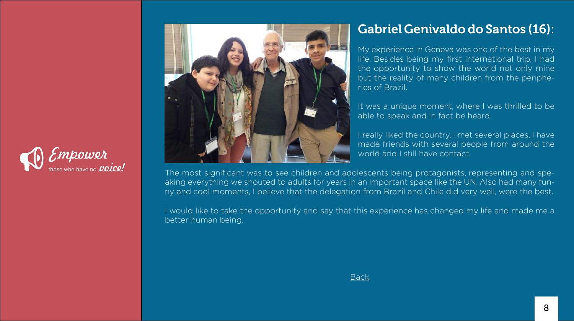### Gabriel Genivaldo do Santos (16):

My experience in Geneva was one of the best in my life. Besides being my first international trip, I had the opportunity to show the world not only mine but the reality of many children from the peripheries of Brazil.

It was a unique moment, where I was thrilled to be able to speak and in fact be heard.

I really liked the country, I met several places, I have made friends with several people from around the world and I still have contact.





The most significant was to see children and adolescents being protagonists, representing and speaking everything we shouted to adults for years in an important space like the UN. Also had many funny and cool moments, I believe that the delegation from Brazil and Chile did very well, were the best.

I would like to take the opportunity and say that this experience has changed my life and made me a better human being.

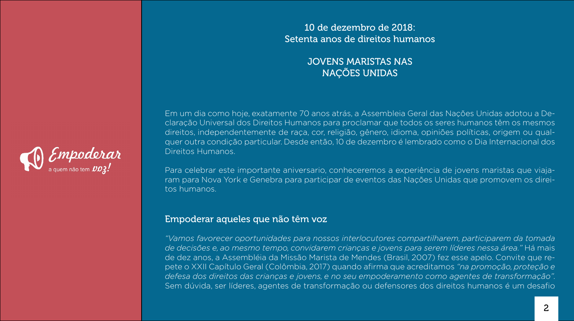### 10 de dezembro de 2018: Setenta anos de direitos humanos

### JOVENS MARISTAS NAS NAÇÕES UNIDAS

Em um dia como hoje, exatamente 70 anos atrás, a Assembleia Geral das Nações Unidas adotou a Declaração Universal dos Direitos Humanos para proclamar que todos os seres humanos têm os mesmos direitos, independentemente de raça, cor, religião, gênero, idioma, opiniões políticas, origem ou qualquer outra condição particular. Desde então, 10 de dezembro é lembrado como o Dia Internacional dos

<span id="page-8-0"></span>

# Direitos Humanos.

Para celebrar este importante aniversario, conheceremos a experiência de jovens maristas que viajaram para Nova York e Genebra para participar de eventos das Nações Unidas que promovem os direitos humanos.

### Empoderar aqueles que não têm voz

*"Vamos favorecer oportunidades para nossos interlocutores compartilharem, participarem da tomada de decisões e, ao mesmo tempo, convidarem crianças e jovens para serem líderes nessa área."* Há mais de dez anos, a Assembléia da Missão Marista de Mendes (Brasil, 2007) fez esse apelo. Convite que repete o XXII Capítulo Geral (Colômbia, 2017) quando afirma que acreditamos *"na promoção, proteção e defesa dos direitos das crianças e jovens, e no seu empoderamento como agentes de transformação".* Sem dúvida, ser líderes, agentes de transformação ou defensores dos direitos humanos é um desafio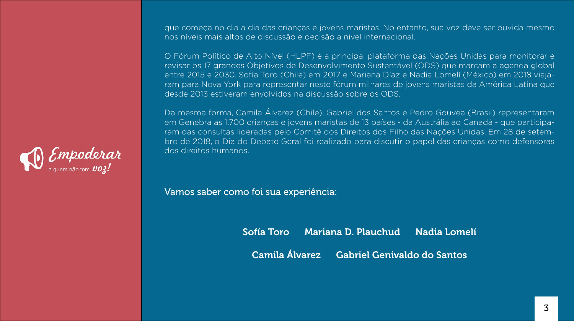### que começa no dia a dia das crianças e jovens maristas. No entanto, sua voz deve ser ouvida mesmo

nos níveis mais altos de discussão e decisão a nível internacional.



O Fórum Político de Alto Nível (HLPF) é a principal plataforma das Nações Unidas para monitorar e revisar os 17 grandes Objetivos de Desenvolvimento Sustentável (ODS) que marcam a agenda global entre 2015 e 2030. Sofía Toro (Chile) em 2017 e Mariana Díaz e Nadia Lomelí (México) em 2018 viajaram para Nova York para representar neste fórum milhares de jovens maristas da América Latina que desde 2013 estiveram envolvidos na discussão sobre os ODS.

# Sofía Toro Mariana D. Plauchud Nadia Lomelí Camila Álvarez Gabriel Genivaldo do Santos

Da mesma forma, Camila Álvarez (Chile), Gabriel dos Santos e Pedro Gouvea (Brasil) representaram em Genebra as 1.700 crianças e jovens maristas de 13 países - da Austrália ao Canadá - que participaram das consultas lideradas pelo Comitê dos Direitos dos Filho das Nações Unidas. Em 28 de setembro de 2018, o Dia do Debate Geral foi realizado para discutir o papel das crianças como defensoras dos direitos humanos.

Vamos saber como foi sua experiência: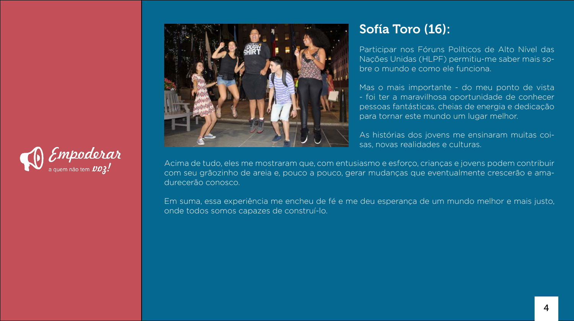# Sofía Toro (16):

Participar nos Fóruns Políticos de Alto Nível das Nações Unidas (HLPF) permitiu-me saber mais sobre o mundo e como ele funciona.

Mas o mais importante - do meu ponto de vista - foi ter a maravilhosa oportunidade de conhecer pessoas fantásticas, cheias de energia e dedicação para tornar este mundo um lugar melhor.

As histórias dos jovens me ensinaram muitas coisas, novas realidades e culturas.





Acima de tudo, eles me mostraram que, com entusiasmo e esforço, crianças e jovens podem contribuir com seu grãozinho de areia e, pouco a pouco, gerar mudanças que eventualmente crescerão e amadurecerão conosco.

Em suma, essa experiência me encheu de fé e me deu esperança de um mundo melhor e mais justo, onde todos somos capazes de construí-lo.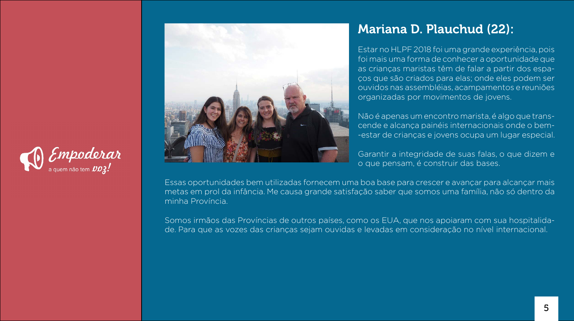### Mariana D. Plauchud (22):

Estar no HLPF 2018 foi uma grande experiência, pois foi mais uma forma de conhecer a oportunidade que as crianças maristas têm de falar a partir dos espaços que são criados para elas; onde eles podem ser ouvidos nas assembléias, acampamentos e reuniões organizadas por movimentos de jovens.

Não é apenas um encontro marista, é algo que transcende e alcança painéis internacionais onde o bem- -estar de crianças e jovens ocupa um lugar especial.

Garantir a integridade de suas falas, o que dizem e o que pensam, é construir das bases.





Essas oportunidades bem utilizadas fornecem uma boa base para crescer e avançar para alcançar mais metas em prol da infância. Me causa grande satisfação saber que somos uma família, não só dentro da minha Província.

Somos irmãos das Províncias de outros países, como os EUA, que nos apoiaram com sua hospitalidade. Para que as vozes das crianças sejam ouvidas e levadas em consideração no nível internacional.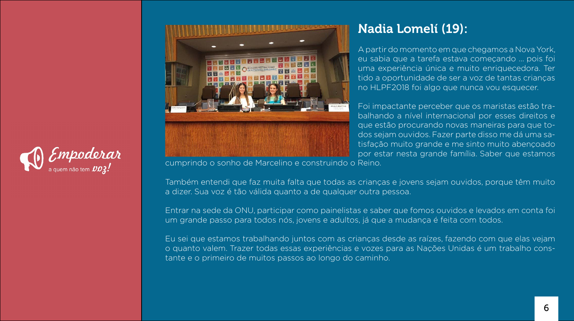### Nadia Lomelí (19):

A partir do momento em que chegamos a Nova York, eu sabia que a tarefa estava começando ... pois foi uma experiência única e muito enriquecedora. Ter tido a oportunidade de ser a voz de tantas crianças no HLPF2018 foi algo que nunca vou esquecer.

Foi impactante perceber que os maristas estão trabalhando a nível internacional por esses direitos e que estão procurando novas maneiras para que todos sejam ouvidos. Fazer parte disso me dá uma satisfação muito grande e me sinto muito abençoado por estar nesta grande família. Saber que estamos





cumprindo o sonho de Marcelino e construindo o Reino.

Também entendi que faz muita falta que todas as crianças e jovens sejam ouvidos, porque têm muito a dizer. Sua voz é tão válida quanto a de qualquer outra pessoa.

Entrar na sede da ONU, participar como painelistas e saber que fomos ouvidos e levados em conta foi um grande passo para todos nós, jovens e adultos, já que a mudança é feita com todos.

Eu sei que estamos trabalhando juntos com as crianças desde as raízes, fazendo com que elas vejam o quanto valem. Trazer todas essas experiências e vozes para as Nações Unidas é um trabalho constante e o primeiro de muitos passos ao longo do caminho.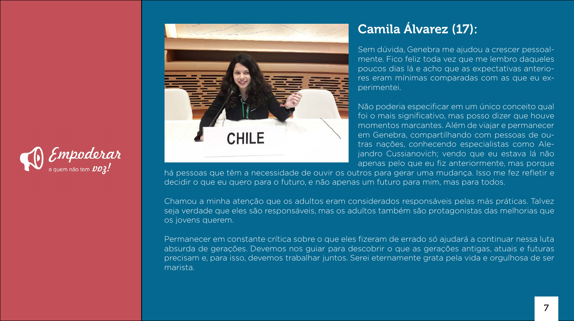

# **South A. B. Booms Street**

# Camila Álvarez (17):

Sem dúvida, Genebra me ajudou a crescer pessoalmente. Fico feliz toda vez que me lembro daqueles poucos dias lá e acho que as expectativas anteriores eram mínimas comparadas com as que eu experimentei.

Não poderia especificar em um único conceito qual foi o mais significativo, mas posso dizer que houve momentos marcantes. Além de viajar e permanecer em Genebra, compartilhando com pessoas de outras nações, conhecendo especialistas como Alejandro Cussianovich; vendo que eu estava lá não apenas pelo que eu fiz anteriormente, mas porque

há pessoas que têm a necessidade de ouvir os outros para gerar uma mudança. Isso me fez refletir e decidir o que eu quero para o futuro, e não apenas um futuro para mim, mas para todos.

Chamou a minha atenção que os adultos eram considerados responsáveis pelas más práticas. Talvez seja verdade que eles são responsáveis, mas os adultos também são protagonistas das melhorias que os jovens querem.

Permanecer em constante crítica sobre o que eles fizeram de errado só ajudará a continuar nessa luta absurda de gerações. Devemos nos guiar para descobrir o que as gerações antigas, atuais e futuras precisam e, para isso, devemos trabalhar juntos. Serei eternamente grata pela vida e orgulhosa de ser marista.

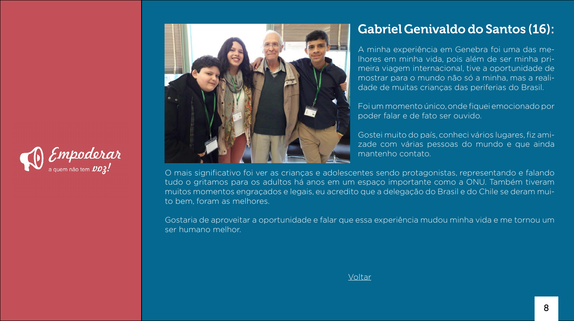# Gabriel Genivaldo do Santos (16):

A minha experiência em Genebra foi uma das melhores em minha vida, pois além de ser minha primeira viagem internacional, tive a oportunidade de mostrar para o mundo não só a minha, mas a realidade de muitas crianças das periferias do Brasil.

Foi um momento único, onde fiquei emocionado por poder falar e de fato ser ouvido.

Gostei muito do país, conheci vários lugares, fiz amizade com várias pessoas do mundo e que ainda mantenho contato.





O mais significativo foi ver as crianças e adolescentes sendo protagonistas, representando e falando tudo o gritamos para os adultos há anos em um espaço importante como a ONU. Também tiveram muitos momentos engraçados e legais, eu acredito que a delegação do Brasil e do Chile se deram muito bem, foram as melhores.

Gostaria de aproveitar a oportunidade e falar que essa experiência mudou minha vida e me tornou um ser humano melhor.

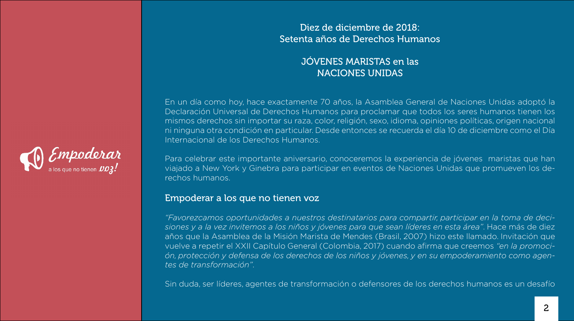<span id="page-15-0"></span>

### Diez de diciembre de 2018: Setenta años de Derechos Humanos

### JÓVENES MARISTAS en las NACIONES UNIDAS

En un día como hoy, hace exactamente 70 años, la Asamblea General de Naciones Unidas adoptó la Declaración Universal de Derechos Humanos para proclamar que todos los seres humanos tienen los mismos derechos sin importar su raza, color, religión, sexo, idioma, opiniones políticas, origen nacional ni ninguna otra condición en particular. Desde entonces se recuerda el día 10 de diciembre como el Día

# Internacional de los Derechos Humanos.

Para celebrar este importante aniversario, conoceremos la experiencia de jóvenes maristas que han viajado a New York y Ginebra para participar en eventos de Naciones Unidas que promueven los derechos humanos.

### Empoderar a los que no tienen voz

*"Favorezcamos oportunidades a nuestros destinatarios para compartir, participar en la toma de decisiones y a la vez invitemos a los niños y jóvenes para que sean líderes en esta área"*. Hace más de diez años que la Asamblea de la Misión Marista de Mendes (Brasil, 2007) hizo este llamado. Invitación que vuelve a repetir el XXII Capítulo General (Colombia, 2017) cuando afirma que creemos *"en la promoción, protección y defensa de los derechos de los niños y jóvenes, y en su empoderamiento como agentes de transformación"*.

Sin duda, ser líderes, agentes de transformación o defensores de los derechos humanos es un desafío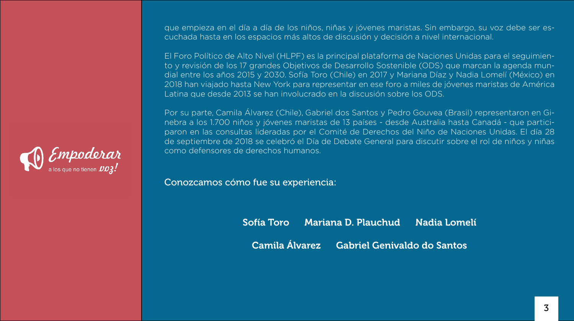

que empieza en el día a día de los niños, niñas y jóvenes maristas. Sin embargo, su voz debe ser escuchada hasta en los espacios más altos de discusión y decisión a nivel internacional.

El Foro Político de Alto Nivel (HLPF) es la principal plataforma de Naciones Unidas para el seguimiento y revisión de los 17 grandes Objetivos de Desarrollo Sostenible (ODS) que marcan la agenda mundial entre los años 2015 y 2030. Sofía Toro (Chile) en 2017 y Mariana Díaz y Nadia Lomelí (México) en 2018 han viajado hasta New York para representar en ese foro a miles de jóvenes maristas de América Latina que desde 2013 se han involucrado en la discusión sobre los ODS.

> Sofía Toro Mariana D. Plauchud Nadia Lomelí Camila Álvarez Gabriel Genivaldo do Santos

Por su parte, Camila Álvarez (Chile), Gabriel dos Santos y Pedro Gouvea (Brasil) representaron en Ginebra a los 1.700 niños y jóvenes maristas de 13 países - desde Australia hasta Canadá - que participaron en las consultas lideradas por el Comité de Derechos del Niño de Naciones Unidas. El día 28 de septiembre de 2018 se celebró el Día de Debate General para discutir sobre el rol de niños y niñas como defensores de derechos humanos.

Conozcamos cómo fue su experiencia: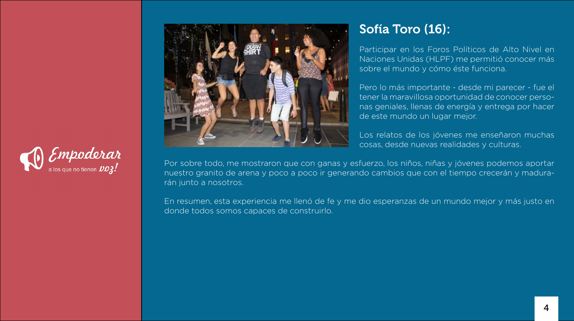# Sofía Toro (16):

Participar en los Foros Políticos de Alto Nivel en Naciones Unidas (HLPF) me permitió conocer más sobre el mundo y cómo éste funciona.

Pero lo más importante - desde mi parecer - fue el tener la maravillosa oportunidad de conocer personas geniales, llenas de energía y entrega por hacer de este mundo un lugar mejor.

Los relatos de los jóvenes me enseñaron muchas cosas, desde nuevas realidades y culturas.





Por sobre todo, me mostraron que con ganas y esfuerzo, los niños, niñas y jóvenes podemos aportar nuestro granito de arena y poco a poco ir generando cambios que con el tiempo crecerán y madurarán junto a nosotros.

En resumen, esta experiencia me llenó de fe y me dio esperanzas de un mundo mejor y más justo en donde todos somos capaces de construirlo.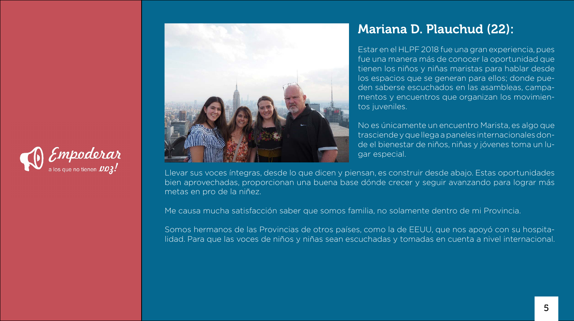### Mariana D. Plauchud (22):

Estar en el HLPF 2018 fue una gran experiencia, pues fue una manera más de conocer la oportunidad que tienen los niños y niñas maristas para hablar desde los espacios que se generan para ellos; donde pueden saberse escuchados en las asambleas, campamentos y encuentros que organizan los movimientos juveniles.

No es únicamente un encuentro Marista, es algo que trasciende y que llega a paneles internacionales donde el bienestar de niños, niñas y jóvenes toma un lugar especial.





Llevar sus voces íntegras, desde lo que dicen y piensan, es construir desde abajo. Estas oportunidades bien aprovechadas, proporcionan una buena base dónde crecer y seguir avanzando para lograr más metas en pro de la niñez.

Me causa mucha satisfacción saber que somos familia, no solamente dentro de mi Provincia.

Somos hermanos de las Provincias de otros países, como la de EEUU, que nos apoyó con su hospitalidad. Para que las voces de niños y niñas sean escuchadas y tomadas en cuenta a nivel internacional.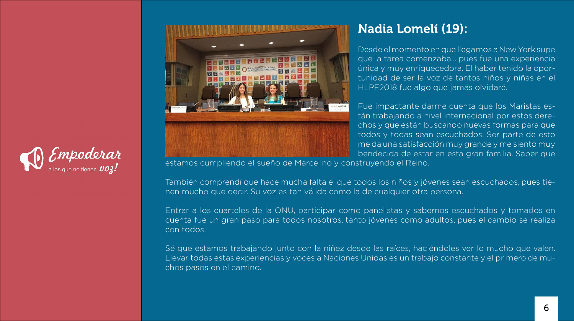### Nadia Lomelí (19):

Desde el momento en que llegamos a New York supe que la tarea comenzaba… pues fue una experiencia única y muy enriquecedora. El haber tenido la oportunidad de ser la voz de tantos niños y niñas en el HLPF2018 fue algo que jamás olvidaré.

Fue impactante darme cuenta que los Maristas están trabajando a nivel internacional por estos derechos y que están buscando nuevas formas para que todos y todas sean escuchados. Ser parte de esto me da una satisfacción muy grande y me siento muy bendecida de estar en esta gran familia. Saber que





estamos cumpliendo el sueño de Marcelino y construyendo el Reino.

También comprendí que hace mucha falta el que todos los niños y jóvenes sean escuchados, pues tienen mucho que decir. Su voz es tan válida como la de cualquier otra persona.

Entrar a los cuarteles de la ONU, participar como panelistas y sabernos escuchados y tomados en cuenta fue un gran paso para todos nosotros, tanto jóvenes como adultos, pues el cambio se realiza con todos.

Sé que estamos trabajando junto con la niñez desde las raíces, haciéndoles ver lo mucho que valen. Llevar todas estas experiencias y voces a Naciones Unidas es un trabajo constante y el primero de muchos pasos en el camino.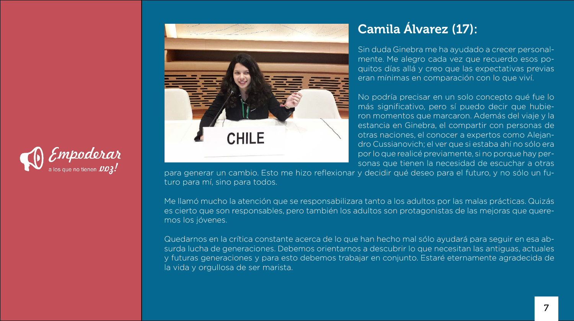

# **Sandy & M. H. Homma Sheets**

# Camila Álvarez (17):

Sin duda Ginebra me ha ayudado a crecer personalmente. Me alegro cada vez que recuerdo esos poquitos días allá y creo que las expectativas previas eran mínimas en comparación con lo que viví.

No podría precisar en un solo concepto qué fue lo más significativo, pero sí puedo decir que hubieron momentos que marcaron. Además del viaje y la estancia en Ginebra, el compartir con personas de otras naciones, el conocer a expertos como Alejandro Cussianovich; el ver que si estaba ahí no sólo era por lo que realicé previamente, si no porque hay personas que tienen la necesidad de escuchar a otras

para generar un cambio. Esto me hizo reflexionar y decidir qué deseo para el futuro, y no sólo un futuro para mí, sino para todos.

Me llamó mucho la atención que se responsabilizara tanto a los adultos por las malas prácticas. Quizás es cierto que son responsables, pero también los adultos son protagonistas de las mejoras que queremos los jóvenes.

Quedarnos en la crítica constante acerca de lo que han hecho mal sólo ayudará para seguir en esa absurda lucha de generaciones. Debemos orientarnos a descubrir lo que necesitan las antiguas, actuales y futuras generaciones y para esto debemos trabajar en conjunto. Estaré eternamente agradecida de la vida y orgullosa de ser marista.

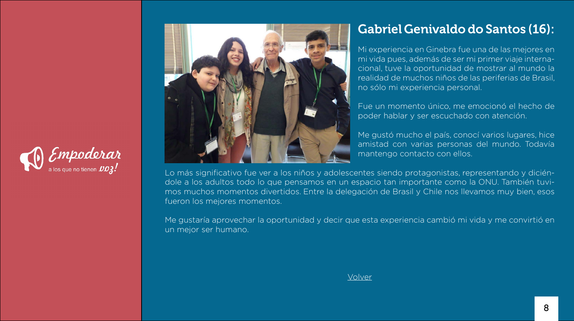### Gabriel Genivaldo do Santos (16):

Mi experiencia en Ginebra fue una de las mejores en mi vida pues, además de ser mi primer viaje internacional, tuve la oportunidad de mostrar al mundo la realidad de muchos niños de las periferias de Brasil, no sólo mi experiencia personal.

Fue un momento único, me emocionó el hecho de poder hablar y ser escuchado con atención.

Me gustó mucho el país, conocí varios lugares, hice amistad con varias personas del mundo. Todavía mantengo contacto con ellos.





Lo más significativo fue ver a los niños y adolescentes siendo protagonistas, representando y diciéndole a los adultos todo lo que pensamos en un espacio tan importante como la ONU. También tuvimos muchos momentos divertidos. Entre la delegación de Brasil y Chile nos llevamos muy bien, esos fueron los mejores momentos.

Me gustaría aprovechar la oportunidad y decir que esta experiencia cambió mi vida y me convirtió en un mejor ser humano.

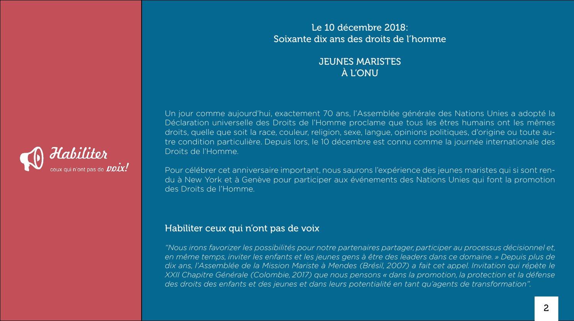### Le 10 décembre 2018: Soixante dix ans des droits de l'homme

### JEUNES MARISTES À L'ONU

<span id="page-22-0"></span>

Un jour comme aujourd'hui, exactement 70 ans, l'Assemblée générale des Nations Unies a adopté la Déclaration universelle des Droits de l'Homme proclame que tous les êtres humains ont les mêmes droits, quelle que soit la race, couleur, religion, sexe, langue, opinions politiques, d'origine ou toute autre condition particulière. Depuis lors, le 10 décembre est connu comme la journée internationale des Droits de l'Homme.

Pour célébrer cet anniversaire important, nous saurons l'expérience des jeunes maristes qui si sont rendu à New York et à Genève pour participer aux événements des Nations Unies qui font la promotion des Droits de l'Homme.

### Habiliter ceux qui n'ont pas de voix

*"Nous irons favorizer les possibilités pour notre partenaires partager, participer au processus décisionnel et, en même temps, inviter les enfants et les jeunes gens à être des leaders dans ce domaine. » Depuis plus de dix ans, l'Assemblée de la Mission Mariste à Mendes (Brésil, 2007) a fait cet appel. Invitation qui répète le XXII Chapitre Générale (Colombie, 2017) que nous pensons « dans la promotion, la protection et la défense des droits des enfants et des jeunes et dans leurs potentialité en tant qu'agents de transformation".*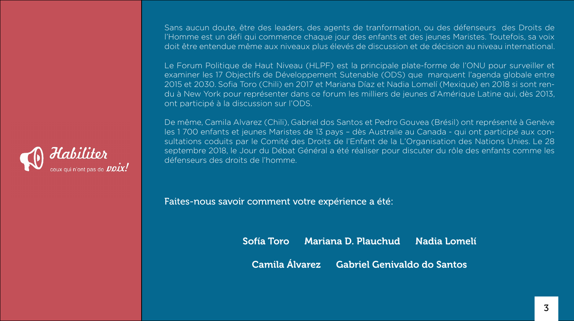

Sans aucun doute, être des leaders, des agents de tranformation, ou des défenseurs des Droits de l'Homme est un défi qui commence chaque jour des enfants et des jeunes Maristes. Toutefois, sa voix doit être entendue même aux niveaux plus élevés de discussion et de décision au niveau international.

Le Forum Politique de Haut Niveau (HLPF) est la principale plate-forme de l'ONU pour surveiller et examiner les 17 Objectifs de Développement Sutenable (ODS) que marquent l'agenda globale entre 2015 et 2030. Sofia Toro (Chili) en 2017 et Mariana Díaz et Nadia Lomelí (Mexique) en 2018 si sont rendu à New York pour représenter dans ce forum les milliers de jeunes d'Amérique Latine qui, dès 2013, ont participé à la discussion sur l'ODS.

# Sofía Toro Mariana D. Plauchud Nadia Lomelí Camila Álvarez Gabriel Genivaldo do Santos

De même, Camila Alvarez (Chili), Gabriel dos Santos et Pedro Gouvea (Brésil) ont représenté à Genève les 1 700 enfants et jeunes Maristes de 13 pays – dès Australie au Canada - qui ont participé aux consultations coduits par le Comité des Droits de l'Enfant de la L'Organisation des Nations Unies. Le 28 septembre 2018, le Jour du Débat Général a été réaliser pour discuter du rôle des enfants comme les défenseurs des droits de l'homme.

Faites-nous savoir comment votre expérience a été: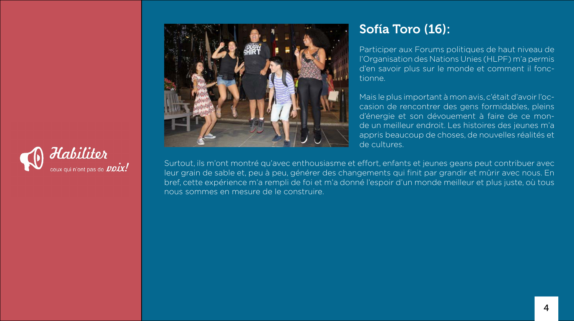# Sofía Toro (16):

Participer aux Forums politiques de haut niveau de l'Organisation des Nations Unies (HLPF) m'a permis d'en savoir plus sur le monde et comment il fonctionne.

Mais le plus important à mon avis, c'était d'avoir l'occasion de rencontrer des gens formidables, pleins d'énergie et son dévouement à faire de ce monde un meilleur endroit. Les histoires des jeunes m'a appris beaucoup de choses, de nouvelles réalités et de cultures.





Surtout, ils m'ont montré qu'avec enthousiasme et effort, enfants et jeunes geans peut contribuer avec leur grain de sable et, peu à peu, générer des changements qui finit par grandir et mûrir avec nous. En bref, cette expérience m'a rempli de foi et m'a donné l'espoir d'un monde meilleur et plus juste, où tous nous sommes en mesure de le construire.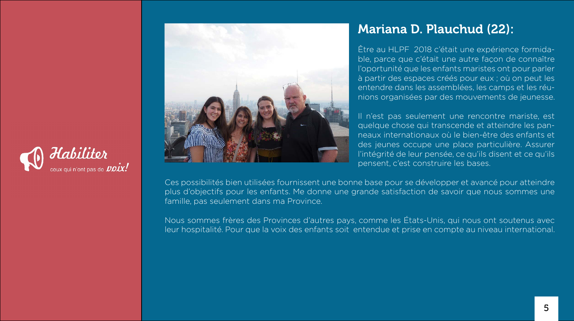### Mariana D. Plauchud (22):

Être au HLPF 2018 c'était une expérience formidable, parce que c'était une autre façon de connaître l'oportunité que les enfants maristes ont pour parler à partir des espaces créés pour eux ; où on peut les entendre dans les assemblées, les camps et les réunions organisées par des mouvements de jeunesse.

Il n'est pas seulement une rencontre mariste, est quelque chose qui transcende et atteindre les panneaux internationaux où le bien-être des enfants et des jeunes occupe une place particulière. Assurer l'intégrité de leur pensée, ce qu'ils disent et ce qu'ils pensent, c'est construire les bases.





Ces possibilités bien utilisées fournissent une bonne base pour se développer et avancé pour atteindre plus d'objectifs pour les enfants. Me donne une grande satisfaction de savoir que nous sommes une famille, pas seulement dans ma Province.

Nous sommes frères des Provinces d'autres pays, comme les États-Unis, qui nous ont soutenus avec leur hospitalité. Pour que la voix des enfants soit entendue et prise en compte au niveau international.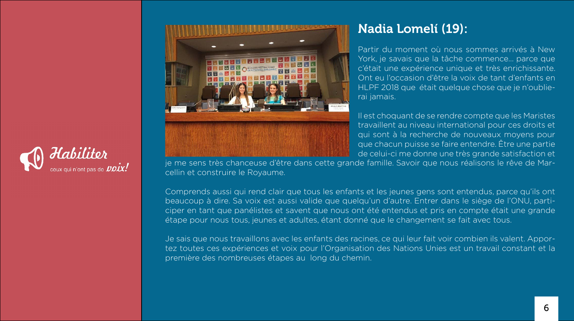### Nadia Lomelí (19):

Partir du moment où nous sommes arrivés à New York, je savais que la tâche commence... parce que c'était une expérience unique et très enrichissante. Ont eu l'occasion d'être la voix de tant d'enfants en HLPF 2018 que était quelque chose que je n'oublierai jamais.

Il est choquant de se rendre compte que les Maristes travaillent au niveau international pour ces droits et qui sont à la recherche de nouveaux moyens pour que chacun puisse se faire entendre. Être une partie de celui-ci me donne une très grande satisfaction et





je me sens très chanceuse d'être dans cette grande famille. Savoir que nous réalisons le rêve de Marcellin et construire le Royaume.

Comprends aussi qui rend clair que tous les enfants et les jeunes gens sont entendus, parce qu'ils ont beaucoup à dire. Sa voix est aussi valide que quelqu'un d'autre. Entrer dans le siège de l'ONU, participer en tant que panélistes et savent que nous ont été entendus et pris en compte était une grande étape pour nous tous, jeunes et adultes, étant donné que le changement se fait avec tous.

Je sais que nous travaillons avec les enfants des racines, ce qui leur fait voir combien ils valent. Apportez toutes ces expériences et voix pour l'Organisation des Nations Unies est un travail constant et la première des nombreuses étapes au long du chemin.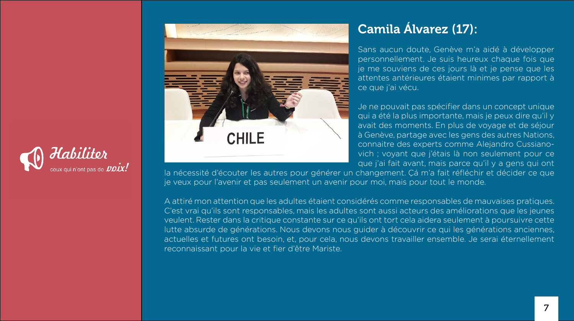

# **Sandy & M. H. Homma Sheets**

# Camila Álvarez (17):

Je ne pouvait pas spécifier dans un concept unique qui a été la plus importante, mais je peux dire qu'il y avait des moments. En plus de voyage et de séjour à Genève, partage avec les gens des autres Nations, connaitre des experts comme Alejandro Cussianovich ; voyant que j'étais là non seulement pour ce que j'ai fait avant, mais parce qu'il y a gens qui ont

Sans aucun doute, Genève m'a aidé à développer personnellement. Je suis heureux chaque fois que je me souviens de ces jours là et je pense que les attentes antérieures étaient minimes par rapport à ce que j'ai vécu.

la nécessité d'écouter les autres pour générer un changement. Çá m'a fait réfléchir et décider ce que je veux pour l'avenir et pas seulement un avenir pour moi, mais pour tout le monde.

A attiré mon attention que les adultes étaient considérés comme responsables de mauvaises pratiques. C'est vrai qu'ils sont responsables, mais les adultes sont aussi acteurs des améliorations que les jeunes veulent. Rester dans la critique constante sur ce qu'ils ont tort cela aidera seulement à poursuivre cette lutte absurde de générations. Nous devons nous guider à découvrir ce qui les générations anciennes, actuelles et futures ont besoin, et, pour cela, nous devons travailler ensemble. Je serai éternellement reconnaissant pour la vie et fier d'être Mariste.